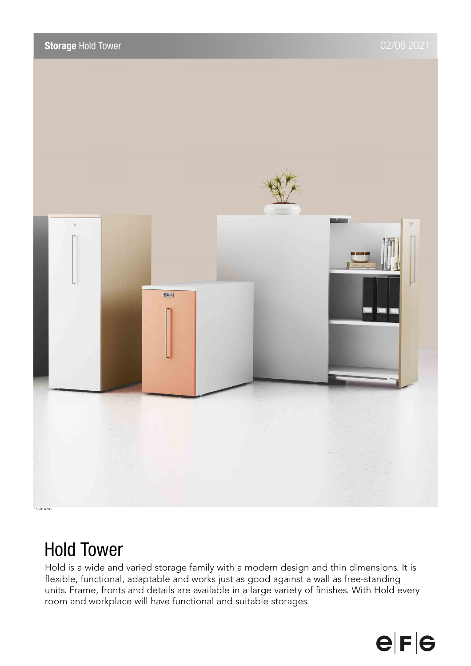

# Hold Tower

Hold is a wide and varied storage family with a modern design and thin dimensions. It is flexible, functional, adaptable and works just as good against a wall as free-standing units. Frame, fronts and details are available in a large variety of finishes. With Hold every room and workplace will have functional and suitable storages.

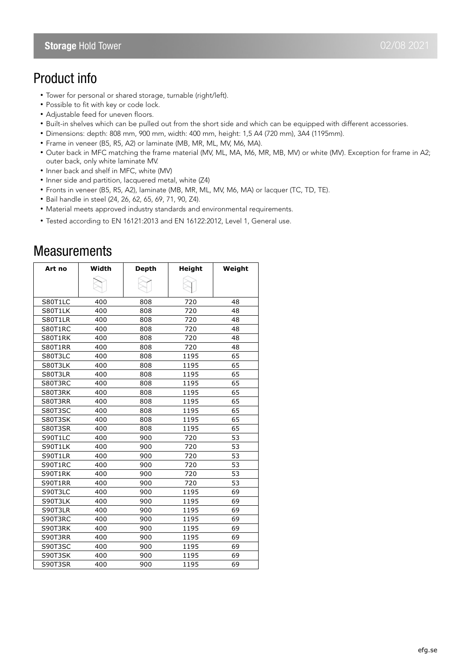## Product info

- Tower for personal or shared storage, turnable (right/left).
- Possible to fit with key or code lock.
- Adjustable feed for uneven floors.
- Built-in shelves which can be pulled out from the short side and which can be equipped with different accessories.
- Dimensions: depth: 808 mm, 900 mm, width: 400 mm, height: 1,5 A4 (720 mm), 3A4 (1195mm).
- Frame in veneer (B5, R5, A2) or laminate (MB, MR, ML, MV, M6, MA).
- Outer back in MFC matching the frame material (MV, ML, MA, M6, MR, MB, MV) or white (MV). Exception for frame in A2; outer back, only white laminate MV.
- Inner back and shelf in MFC, white (MV)
- Inner side and partition, lacquered metal, white (Z4)
- Fronts in veneer (B5, R5, A2), laminate (MB, MR, ML, MV, M6, MA) or lacquer (TC, TD, TE).
- Bail handle in steel (24, 26, 62, 65, 69, 71, 90, Z4).
- Material meets approved industry standards and environmental requirements.
- Tested according to EN 16121:2013 and EN 16122:2012, Level 1, General use.

| Art no  | Width | <b>Depth</b> | Height | Weight |
|---------|-------|--------------|--------|--------|
|         |       |              |        |        |
| S80T1LC | 400   | 808          | 720    | 48     |
| S80T1LK | 400   | 808          | 720    | 48     |
| S80T1LR | 400   | 808          | 720    | 48     |
| S80T1RC | 400   | 808          | 720    | 48     |
| S80T1RK | 400   | 808          | 720    | 48     |
| S80T1RR | 400   | 808          | 720    | 48     |
| S80T3LC | 400   | 808          | 1195   | 65     |
| S80T3LK | 400   | 808          | 1195   | 65     |
| S80T3LR | 400   | 808          | 1195   | 65     |
| S80T3RC | 400   | 808          | 1195   | 65     |
| S80T3RK | 400   | 808          | 1195   | 65     |
| S80T3RR | 400   | 808          | 1195   | 65     |
| S80T3SC | 400   | 808          | 1195   | 65     |
| S80T3SK | 400   | 808          | 1195   | 65     |
| S80T3SR | 400   | 808          | 1195   | 65     |
| S90T1LC | 400   | 900          | 720    | 53     |
| S90T1LK | 400   | 900          | 720    | 53     |
| S90T1LR | 400   | 900          | 720    | 53     |
| S90T1RC | 400   | 900          | 720    | 53     |
| S90T1RK | 400   | 900          | 720    | 53     |
| S90T1RR | 400   | 900          | 720    | 53     |
| S90T3LC | 400   | 900          | 1195   | 69     |
| S90T3LK | 400   | 900          | 1195   | 69     |
| S90T3LR | 400   | 900          | 1195   | 69     |
| S90T3RC | 400   | 900          | 1195   | 69     |
| S90T3RK | 400   | 900          | 1195   | 69     |
| S90T3RR | 400   | 900          | 1195   | 69     |
| S90T3SC | 400   | 900          | 1195   | 69     |
| S90T3SK | 400   | 900          | 1195   | 69     |
| S90T3SR | 400   | 900          | 1195   | 69     |

### **Measurements**